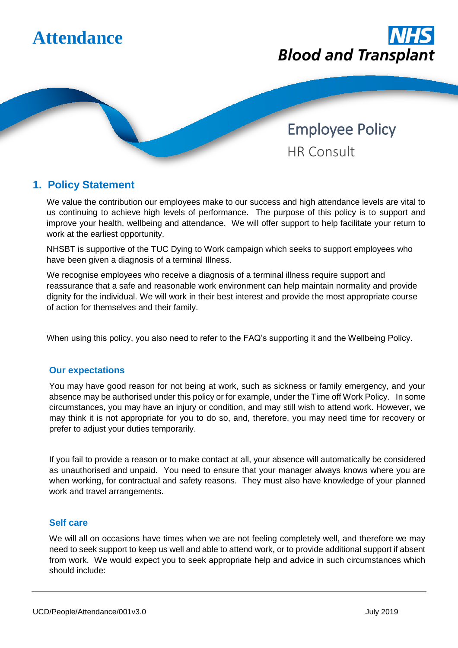



Employee Policy HR Consult

## **1. Policy Statement**

We value the contribution our employees make to our success and high attendance levels are vital to us continuing to achieve high levels of performance. The purpose of this policy is to support and improve your health, wellbeing and attendance. We will offer support to help facilitate your return to work at the earliest opportunity.

NHSBT is supportive of the TUC Dying to Work campaign which seeks to support employees who have been given a diagnosis of a terminal Illness.

We recognise employees who receive a diagnosis of a terminal illness require support and reassurance that a safe and reasonable work environment can help maintain normality and provide dignity for the individual. We will work in their best interest and provide the most appropriate course of action for themselves and their family.

When using this policy, you also need to refer to the FAQ's supporting it and the Wellbeing Policy.

### **Our expectations**

You may have good reason for not being at work, such as sickness or family emergency, and your absence may be authorised under this policy or for example, under the Time off Work Policy. In some circumstances, you may have an injury or condition, and may still wish to attend work. However, we may think it is not appropriate for you to do so, and, therefore, you may need time for recovery or prefer to adjust your duties temporarily.

If you fail to provide a reason or to make contact at all, your absence will automatically be considered as unauthorised and unpaid. You need to ensure that your manager always knows where you are when working, for contractual and safety reasons. They must also have knowledge of your planned work and travel arrangements.

### **Self care**

We will all on occasions have times when we are not feeling completely well, and therefore we may need to seek support to keep us well and able to attend work, or to provide additional support if absent from work. We would expect you to seek appropriate help and advice in such circumstances which should include: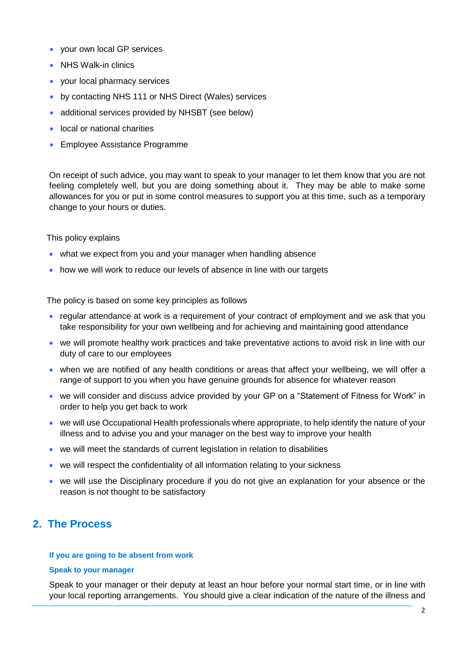- your own local GP services
- NHS Walk-in clinics
- your local pharmacy services
- by contacting NHS 111 or NHS Direct (Wales) services
- additional services provided by NHSBT (see below)
- local or national charities
- **Employee Assistance Programme**

On receipt of such advice, you may want to speak to your manager to let them know that you are not feeling completely well, but you are doing something about it. They may be able to make some allowances for you or put in some control measures to support you at this time, such as a temporary change to your hours or duties.

This policy explains

- what we expect from you and your manager when handling absence
- how we will work to reduce our levels of absence in line with our targets

The policy is based on some key principles as follows

- regular attendance at work is a requirement of your contract of employment and we ask that you take responsibility for your own wellbeing and for achieving and maintaining good attendance
- we will promote healthy work practices and take preventative actions to avoid risk in line with our duty of care to our employees
- when we are notified of any health conditions or areas that affect your wellbeing, we will offer a range of support to you when you have genuine grounds for absence for whatever reason
- we will consider and discuss advice provided by your GP on a "Statement of Fitness for Work" in order to help you get back to work
- we will use Occupational Health professionals where appropriate, to help identify the nature of your illness and to advise you and your manager on the best way to improve your health
- we will meet the standards of current legislation in relation to disabilities
- we will respect the confidentiality of all information relating to your sickness
- we will use the Disciplinary procedure if you do not give an explanation for your absence or the reason is not thought to be satisfactory

## **2. The Process**

#### **If you are going to be absent from work**

#### **Speak to your manager**

Speak to your manager or their deputy at least an hour before your normal start time, or in line with your local reporting arrangements. You should give a clear indication of the nature of the illness and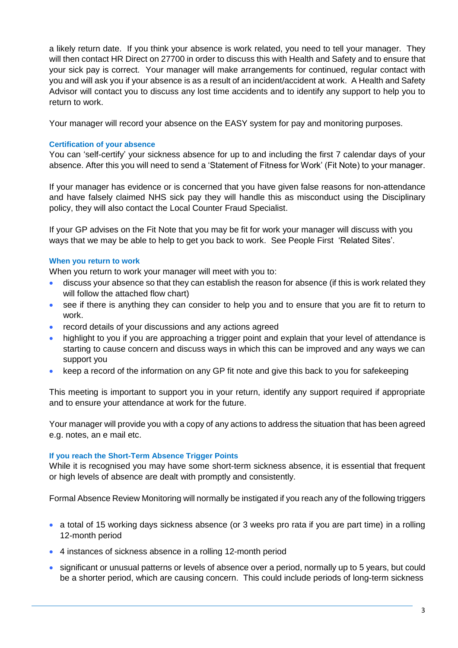a likely return date. If you think your absence is work related, you need to tell your manager. They will then contact HR Direct on 27700 in order to discuss this with Health and Safety and to ensure that your sick pay is correct. Your manager will make arrangements for continued, regular contact with you and will ask you if your absence is as a result of an incident/accident at work. A Health and Safety Advisor will contact you to discuss any lost time accidents and to identify any support to help you to return to work.

Your manager will record your absence on the EASY system for pay and monitoring purposes.

### **Certification of your absence**

You can 'self-certify' your sickness absence for up to and including the first 7 calendar days of your absence. After this you will need to send a 'Statement of Fitness for Work' (Fit Note) to your manager.

If your manager has evidence or is concerned that you have given false reasons for non-attendance and have falsely claimed NHS sick pay they will handle this as misconduct using the Disciplinary policy, they will also contact the Local Counter Fraud Specialist.

If your GP advises on the Fit Note that you may be fit for work your manager will discuss with you ways that we may be able to help to get you back to work. See People First 'Related Sites'.

### **When you return to work**

When you return to work your manager will meet with you to:

- discuss your absence so that they can establish the reason for absence (if this is work related they will follow the attached flow chart)
- see if there is anything they can consider to help you and to ensure that you are fit to return to work.
- record details of your discussions and any actions agreed
- highlight to you if you are approaching a trigger point and explain that your level of attendance is starting to cause concern and discuss ways in which this can be improved and any ways we can support you
- keep a record of the information on any GP fit note and give this back to you for safekeeping

This meeting is important to support you in your return, identify any support required if appropriate and to ensure your attendance at work for the future.

Your manager will provide you with a copy of any actions to address the situation that has been agreed e.g. notes, an e mail etc.

### **If you reach the Short-Term Absence Trigger Points**

While it is recognised you may have some short-term sickness absence, it is essential that frequent or high levels of absence are dealt with promptly and consistently.

Formal Absence Review Monitoring will normally be instigated if you reach any of the following triggers

- a total of 15 working days sickness absence (or 3 weeks pro rata if you are part time) in a rolling 12-month period
- 4 instances of sickness absence in a rolling 12-month period
- significant or unusual patterns or levels of absence over a period, normally up to 5 years, but could be a shorter period, which are causing concern. This could include periods of long-term sickness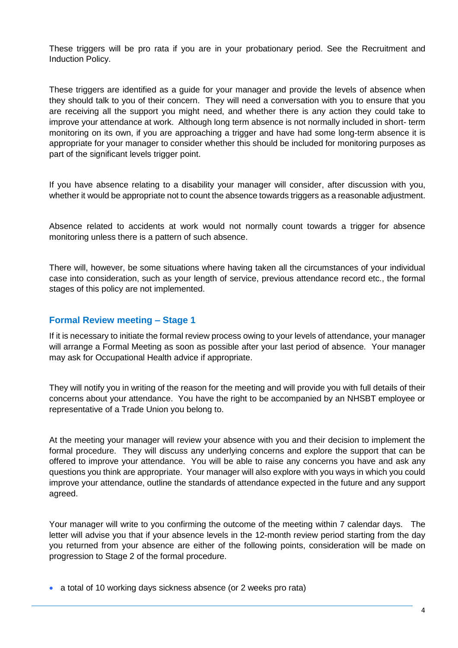These triggers will be pro rata if you are in your probationary period. See the Recruitment and Induction Policy.

These triggers are identified as a guide for your manager and provide the levels of absence when they should talk to you of their concern. They will need a conversation with you to ensure that you are receiving all the support you might need, and whether there is any action they could take to improve your attendance at work. Although long term absence is not normally included in short- term monitoring on its own, if you are approaching a trigger and have had some long-term absence it is appropriate for your manager to consider whether this should be included for monitoring purposes as part of the significant levels trigger point.

If you have absence relating to a disability your manager will consider, after discussion with you, whether it would be appropriate not to count the absence towards triggers as a reasonable adjustment.

Absence related to accidents at work would not normally count towards a trigger for absence monitoring unless there is a pattern of such absence.

There will, however, be some situations where having taken all the circumstances of your individual case into consideration, such as your length of service, previous attendance record etc., the formal stages of this policy are not implemented.

### **Formal Review meeting – Stage 1**

If it is necessary to initiate the formal review process owing to your levels of attendance, your manager will arrange a Formal Meeting as soon as possible after your last period of absence. Your manager may ask for Occupational Health advice if appropriate.

They will notify you in writing of the reason for the meeting and will provide you with full details of their concerns about your attendance. You have the right to be accompanied by an NHSBT employee or representative of a Trade Union you belong to.

At the meeting your manager will review your absence with you and their decision to implement the formal procedure. They will discuss any underlying concerns and explore the support that can be offered to improve your attendance. You will be able to raise any concerns you have and ask any questions you think are appropriate. Your manager will also explore with you ways in which you could improve your attendance, outline the standards of attendance expected in the future and any support agreed.

Your manager will write to you confirming the outcome of the meeting within 7 calendar days. The letter will advise you that if your absence levels in the 12-month review period starting from the day you returned from your absence are either of the following points, consideration will be made on progression to Stage 2 of the formal procedure.

a total of 10 working days sickness absence (or 2 weeks pro rata)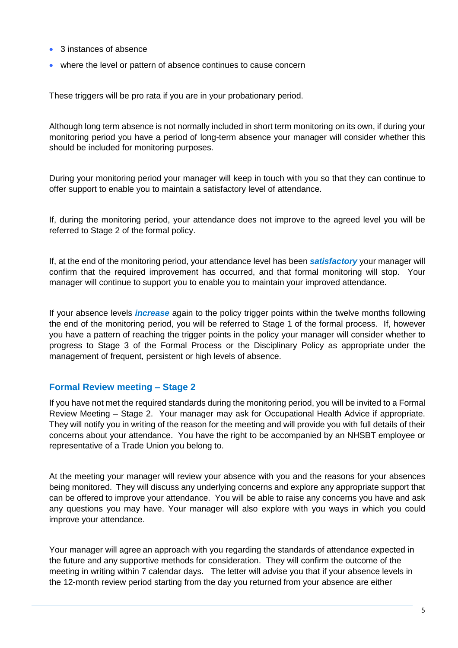- 3 instances of absence
- where the level or pattern of absence continues to cause concern

These triggers will be pro rata if you are in your probationary period.

Although long term absence is not normally included in short term monitoring on its own, if during your monitoring period you have a period of long-term absence your manager will consider whether this should be included for monitoring purposes.

During your monitoring period your manager will keep in touch with you so that they can continue to offer support to enable you to maintain a satisfactory level of attendance.

If, during the monitoring period, your attendance does not improve to the agreed level you will be referred to Stage 2 of the formal policy.

If, at the end of the monitoring period, your attendance level has been *satisfactory* your manager will confirm that the required improvement has occurred, and that formal monitoring will stop. Your manager will continue to support you to enable you to maintain your improved attendance.

If your absence levels *increase* again to the policy trigger points within the twelve months following the end of the monitoring period, you will be referred to Stage 1 of the formal process. If, however you have a pattern of reaching the trigger points in the policy your manager will consider whether to progress to Stage 3 of the Formal Process or the Disciplinary Policy as appropriate under the management of frequent, persistent or high levels of absence.

### **Formal Review meeting – Stage 2**

If you have not met the required standards during the monitoring period, you will be invited to a Formal Review Meeting – Stage 2. Your manager may ask for Occupational Health Advice if appropriate. They will notify you in writing of the reason for the meeting and will provide you with full details of their concerns about your attendance. You have the right to be accompanied by an NHSBT employee or representative of a Trade Union you belong to.

At the meeting your manager will review your absence with you and the reasons for your absences being monitored. They will discuss any underlying concerns and explore any appropriate support that can be offered to improve your attendance. You will be able to raise any concerns you have and ask any questions you may have. Your manager will also explore with you ways in which you could improve your attendance.

Your manager will agree an approach with you regarding the standards of attendance expected in the future and any supportive methods for consideration. They will confirm the outcome of the meeting in writing within 7 calendar days.The letter will advise you that if your absence levels in the 12-month review period starting from the day you returned from your absence are either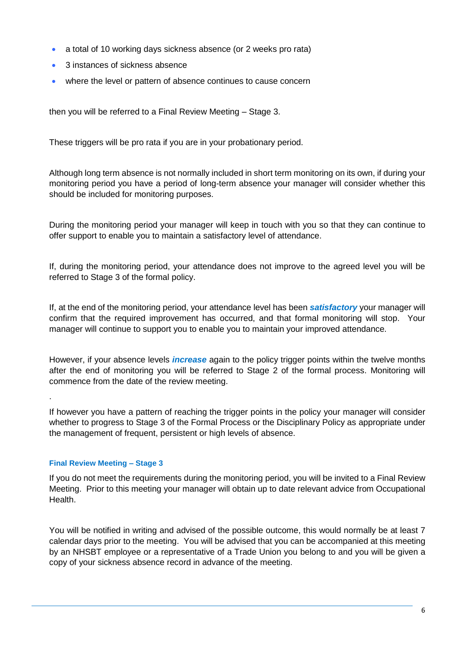- a total of 10 working days sickness absence (or 2 weeks pro rata)
- 3 instances of sickness absence
- where the level or pattern of absence continues to cause concern

then you will be referred to a Final Review Meeting – Stage 3.

These triggers will be pro rata if you are in your probationary period.

Although long term absence is not normally included in short term monitoring on its own, if during your monitoring period you have a period of long-term absence your manager will consider whether this should be included for monitoring purposes.

During the monitoring period your manager will keep in touch with you so that they can continue to offer support to enable you to maintain a satisfactory level of attendance.

If, during the monitoring period, your attendance does not improve to the agreed level you will be referred to Stage 3 of the formal policy.

If, at the end of the monitoring period, your attendance level has been *satisfactory* your manager will confirm that the required improvement has occurred, and that formal monitoring will stop. Your manager will continue to support you to enable you to maintain your improved attendance.

However, if your absence levels *increase* again to the policy trigger points within the twelve months after the end of monitoring you will be referred to Stage 2 of the formal process. Monitoring will commence from the date of the review meeting.

If however you have a pattern of reaching the trigger points in the policy your manager will consider whether to progress to Stage 3 of the Formal Process or the Disciplinary Policy as appropriate under the management of frequent, persistent or high levels of absence.

### **Final Review Meeting – Stage 3**

.

If you do not meet the requirements during the monitoring period, you will be invited to a Final Review Meeting. Prior to this meeting your manager will obtain up to date relevant advice from Occupational Health.

You will be notified in writing and advised of the possible outcome, this would normally be at least 7 calendar days prior to the meeting. You will be advised that you can be accompanied at this meeting by an NHSBT employee or a representative of a Trade Union you belong to and you will be given a copy of your sickness absence record in advance of the meeting.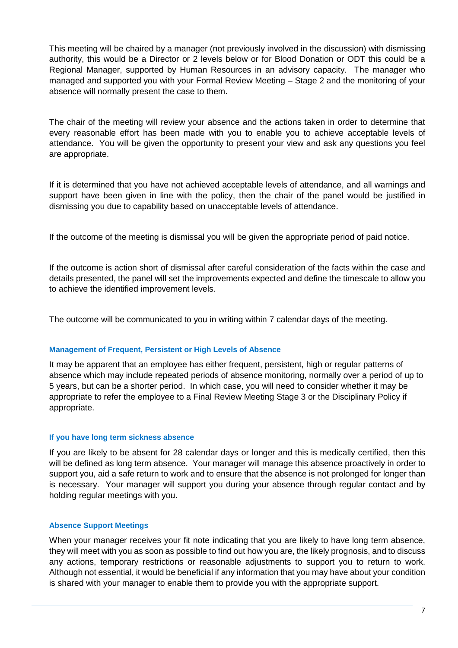This meeting will be chaired by a manager (not previously involved in the discussion) with dismissing authority, this would be a Director or 2 levels below or for Blood Donation or ODT this could be a Regional Manager, supported by Human Resources in an advisory capacity. The manager who managed and supported you with your Formal Review Meeting – Stage 2 and the monitoring of your absence will normally present the case to them.

The chair of the meeting will review your absence and the actions taken in order to determine that every reasonable effort has been made with you to enable you to achieve acceptable levels of attendance. You will be given the opportunity to present your view and ask any questions you feel are appropriate.

If it is determined that you have not achieved acceptable levels of attendance, and all warnings and support have been given in line with the policy, then the chair of the panel would be justified in dismissing you due to capability based on unacceptable levels of attendance.

If the outcome of the meeting is dismissal you will be given the appropriate period of paid notice.

If the outcome is action short of dismissal after careful consideration of the facts within the case and details presented, the panel will set the improvements expected and define the timescale to allow you to achieve the identified improvement levels.

The outcome will be communicated to you in writing within 7 calendar days of the meeting.

### **Management of Frequent, Persistent or High Levels of Absence**

It may be apparent that an employee has either frequent, persistent, high or regular patterns of absence which may include repeated periods of absence monitoring, normally over a period of up to 5 years, but can be a shorter period. In which case, you will need to consider whether it may be appropriate to refer the employee to a Final Review Meeting Stage 3 or the Disciplinary Policy if appropriate.

#### **If you have long term sickness absence**

If you are likely to be absent for 28 calendar days or longer and this is medically certified, then this will be defined as long term absence. Your manager will manage this absence proactively in order to support you, aid a safe return to work and to ensure that the absence is not prolonged for longer than is necessary. Your manager will support you during your absence through regular contact and by holding regular meetings with you.

### **Absence Support Meetings**

When your manager receives your fit note indicating that you are likely to have long term absence, they will meet with you as soon as possible to find out how you are, the likely prognosis, and to discuss any actions, temporary restrictions or reasonable adjustments to support you to return to work. Although not essential, it would be beneficial if any information that you may have about your condition is shared with your manager to enable them to provide you with the appropriate support.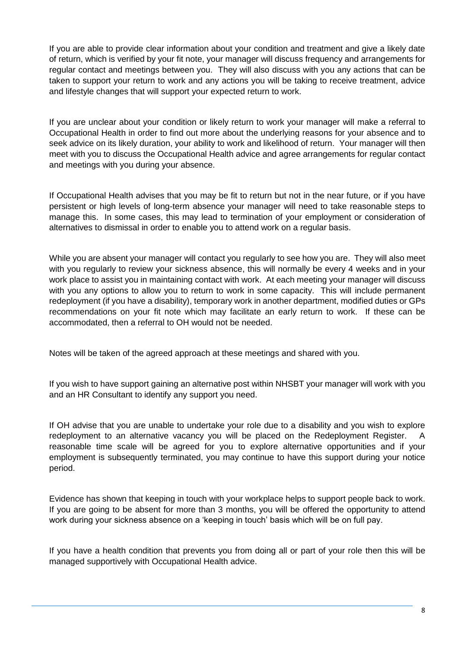If you are able to provide clear information about your condition and treatment and give a likely date of return, which is verified by your fit note, your manager will discuss frequency and arrangements for regular contact and meetings between you. They will also discuss with you any actions that can be taken to support your return to work and any actions you will be taking to receive treatment, advice and lifestyle changes that will support your expected return to work.

If you are unclear about your condition or likely return to work your manager will make a referral to Occupational Health in order to find out more about the underlying reasons for your absence and to seek advice on its likely duration, your ability to work and likelihood of return. Your manager will then meet with you to discuss the Occupational Health advice and agree arrangements for regular contact and meetings with you during your absence.

If Occupational Health advises that you may be fit to return but not in the near future, or if you have persistent or high levels of long-term absence your manager will need to take reasonable steps to manage this. In some cases, this may lead to termination of your employment or consideration of alternatives to dismissal in order to enable you to attend work on a regular basis.

While you are absent your manager will contact you regularly to see how you are. They will also meet with you regularly to review your sickness absence, this will normally be every 4 weeks and in your work place to assist you in maintaining contact with work. At each meeting your manager will discuss with you any options to allow you to return to work in some capacity. This will include permanent redeployment (if you have a disability), temporary work in another department, modified duties or GPs recommendations on your fit note which may facilitate an early return to work. If these can be accommodated, then a referral to OH would not be needed.

Notes will be taken of the agreed approach at these meetings and shared with you.

If you wish to have support gaining an alternative post within NHSBT your manager will work with you and an HR Consultant to identify any support you need.

If OH advise that you are unable to undertake your role due to a disability and you wish to explore redeployment to an alternative vacancy you will be placed on the Redeployment Register. reasonable time scale will be agreed for you to explore alternative opportunities and if your employment is subsequently terminated, you may continue to have this support during your notice period.

Evidence has shown that keeping in touch with your workplace helps to support people back to work. If you are going to be absent for more than 3 months, you will be offered the opportunity to attend work during your sickness absence on a 'keeping in touch' basis which will be on full pay.

If you have a health condition that prevents you from doing all or part of your role then this will be managed supportively with Occupational Health advice.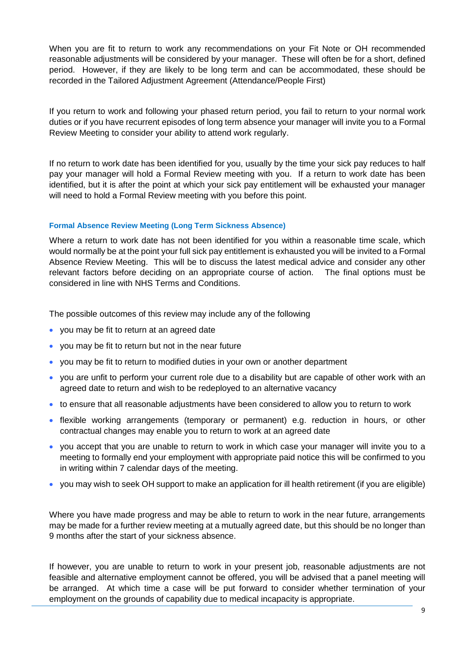When you are fit to return to work any recommendations on your Fit Note or OH recommended reasonable adjustments will be considered by your manager. These will often be for a short, defined period. However, if they are likely to be long term and can be accommodated, these should be recorded in the Tailored Adjustment Agreement (Attendance/People First)

If you return to work and following your phased return period, you fail to return to your normal work duties or if you have recurrent episodes of long term absence your manager will invite you to a Formal Review Meeting to consider your ability to attend work regularly.

If no return to work date has been identified for you, usually by the time your sick pay reduces to half pay your manager will hold a Formal Review meeting with you. If a return to work date has been identified, but it is after the point at which your sick pay entitlement will be exhausted your manager will need to hold a Formal Review meeting with you before this point.

### **Formal Absence Review Meeting (Long Term Sickness Absence)**

Where a return to work date has not been identified for you within a reasonable time scale, which would normally be at the point your full sick pay entitlement is exhausted you will be invited to a Formal Absence Review Meeting. This will be to discuss the latest medical advice and consider any other relevant factors before deciding on an appropriate course of action. The final options must be considered in line with NHS Terms and Conditions.

The possible outcomes of this review may include any of the following

- you may be fit to return at an agreed date
- you may be fit to return but not in the near future
- you may be fit to return to modified duties in your own or another department
- you are unfit to perform your current role due to a disability but are capable of other work with an agreed date to return and wish to be redeployed to an alternative vacancy
- to ensure that all reasonable adjustments have been considered to allow you to return to work
- flexible working arrangements (temporary or permanent) e.g. reduction in hours, or other contractual changes may enable you to return to work at an agreed date
- you accept that you are unable to return to work in which case your manager will invite you to a meeting to formally end your employment with appropriate paid notice this will be confirmed to you in writing within 7 calendar days of the meeting.
- you may wish to seek OH support to make an application for ill health retirement (if you are eligible)

Where you have made progress and may be able to return to work in the near future, arrangements may be made for a further review meeting at a mutually agreed date, but this should be no longer than 9 months after the start of your sickness absence.

If however, you are unable to return to work in your present job, reasonable adjustments are not feasible and alternative employment cannot be offered, you will be advised that a panel meeting will be arranged. At which time a case will be put forward to consider whether termination of your employment on the grounds of capability due to medical incapacity is appropriate.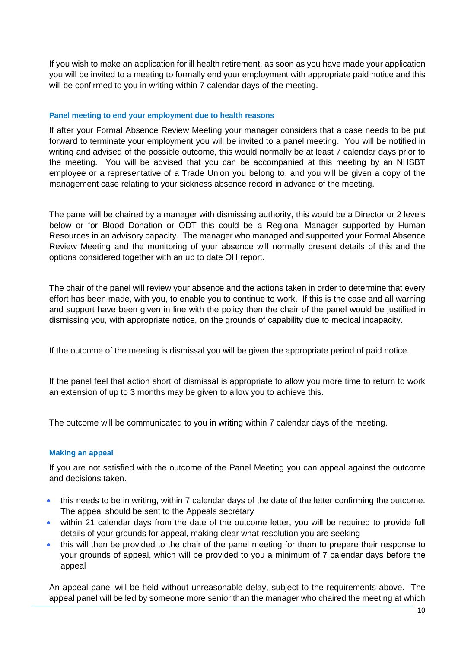If you wish to make an application for ill health retirement, as soon as you have made your application you will be invited to a meeting to formally end your employment with appropriate paid notice and this will be confirmed to you in writing within 7 calendar days of the meeting.

#### **Panel meeting to end your employment due to health reasons**

If after your Formal Absence Review Meeting your manager considers that a case needs to be put forward to terminate your employment you will be invited to a panel meeting. You will be notified in writing and advised of the possible outcome, this would normally be at least 7 calendar days prior to the meeting. You will be advised that you can be accompanied at this meeting by an NHSBT employee or a representative of a Trade Union you belong to, and you will be given a copy of the management case relating to your sickness absence record in advance of the meeting.

The panel will be chaired by a manager with dismissing authority, this would be a Director or 2 levels below or for Blood Donation or ODT this could be a Regional Manager supported by Human Resources in an advisory capacity. The manager who managed and supported your Formal Absence Review Meeting and the monitoring of your absence will normally present details of this and the options considered together with an up to date OH report.

The chair of the panel will review your absence and the actions taken in order to determine that every effort has been made, with you, to enable you to continue to work. If this is the case and all warning and support have been given in line with the policy then the chair of the panel would be justified in dismissing you, with appropriate notice, on the grounds of capability due to medical incapacity.

If the outcome of the meeting is dismissal you will be given the appropriate period of paid notice.

If the panel feel that action short of dismissal is appropriate to allow you more time to return to work an extension of up to 3 months may be given to allow you to achieve this.

The outcome will be communicated to you in writing within 7 calendar days of the meeting.

### **Making an appeal**

If you are not satisfied with the outcome of the Panel Meeting you can appeal against the outcome and decisions taken.

- this needs to be in writing, within 7 calendar days of the date of the letter confirming the outcome. The appeal should be sent to the Appeals secretary
- within 21 calendar days from the date of the outcome letter, you will be required to provide full details of your grounds for appeal, making clear what resolution you are seeking
- this will then be provided to the chair of the panel meeting for them to prepare their response to your grounds of appeal, which will be provided to you a minimum of 7 calendar days before the appeal

An appeal panel will be held without unreasonable delay, subject to the requirements above. The appeal panel will be led by someone more senior than the manager who chaired the meeting at which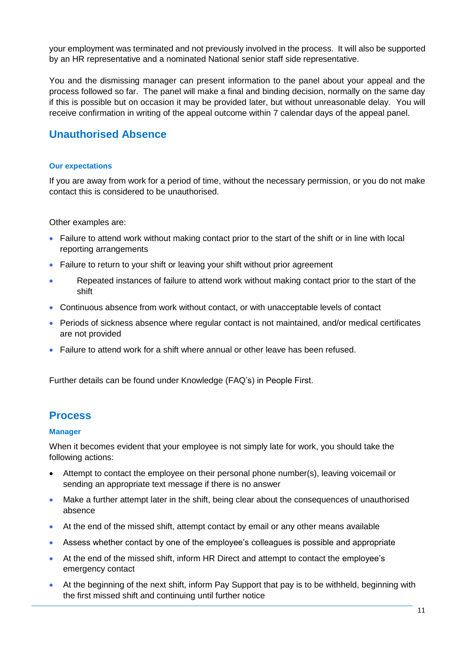your employment was terminated and not previously involved in the process. It will also be supported by an HR representative and a nominated National senior staff side representative.

You and the dismissing manager can present information to the panel about your appeal and the process followed so far. The panel will make a final and binding decision, normally on the same day if this is possible but on occasion it may be provided later, but without unreasonable delay. You will receive confirmation in writing of the appeal outcome within 7 calendar days of the appeal panel.

## **Unauthorised Absence**

### **Our expectations**

If you are away from work for a period of time, without the necessary permission, or you do not make contact this is considered to be unauthorised.

Other examples are:

- Failure to attend work without making contact prior to the start of the shift or in line with local reporting arrangements
- Failure to return to your shift or leaving your shift without prior agreement
- Repeated instances of failure to attend work without making contact prior to the start of the shift
- Continuous absence from work without contact, or with unacceptable levels of contact
- Periods of sickness absence where regular contact is not maintained, and/or medical certificates are not provided
- Failure to attend work for a shift where annual or other leave has been refused.

Further details can be found under Knowledge (FAQ's) in People First.

## **Process**

### **Manager**

When it becomes evident that your employee is not simply late for work, you should take the following actions:

- Attempt to contact the employee on their personal phone number(s), leaving voicemail or sending an appropriate text message if there is no answer
- Make a further attempt later in the shift, being clear about the consequences of unauthorised absence
- At the end of the missed shift, attempt contact by email or any other means available
- Assess whether contact by one of the employee's colleagues is possible and appropriate
- At the end of the missed shift, inform HR Direct and attempt to contact the employee's emergency contact
- At the beginning of the next shift, inform Pay Support that pay is to be withheld, beginning with the first missed shift and continuing until further notice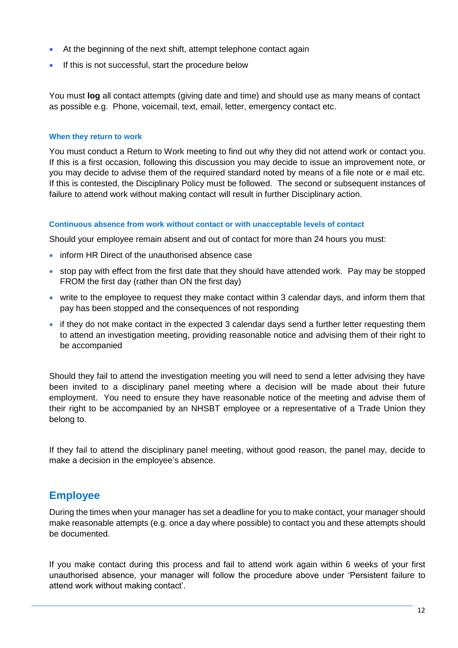- At the beginning of the next shift, attempt telephone contact again
- **If this is not successful, start the procedure below**

You must **log** all contact attempts (giving date and time) and should use as many means of contact as possible e.g. Phone, voicemail, text, email, letter, emergency contact etc.

### **When they return to work**

You must conduct a Return to Work meeting to find out why they did not attend work or contact you. If this is a first occasion, following this discussion you may decide to issue an improvement note, or you may decide to advise them of the required standard noted by means of a file note or e mail etc. If this is contested, the Disciplinary Policy must be followed. The second or subsequent instances of failure to attend work without making contact will result in further Disciplinary action.

### **Continuous absence from work without contact or with unacceptable levels of contact**

Should your employee remain absent and out of contact for more than 24 hours you must:

- inform HR Direct of the unauthorised absence case
- stop pay with effect from the first date that they should have attended work. Pay may be stopped FROM the first day (rather than ON the first day)
- write to the employee to request they make contact within 3 calendar days, and inform them that pay has been stopped and the consequences of not responding
- if they do not make contact in the expected 3 calendar days send a further letter requesting them to attend an investigation meeting, providing reasonable notice and advising them of their right to be accompanied

Should they fail to attend the investigation meeting you will need to send a letter advising they have been invited to a disciplinary panel meeting where a decision will be made about their future employment. You need to ensure they have reasonable notice of the meeting and advise them of their right to be accompanied by an NHSBT employee or a representative of a Trade Union they belong to.

If they fail to attend the disciplinary panel meeting, without good reason, the panel may, decide to make a decision in the employee's absence.

## **Employee**

During the times when your manager has set a deadline for you to make contact, your manager should make reasonable attempts (e.g. once a day where possible) to contact you and these attempts should be documented.

If you make contact during this process and fail to attend work again within 6 weeks of your first unauthorised absence, your manager will follow the procedure above under 'Persistent failure to attend work without making contact'.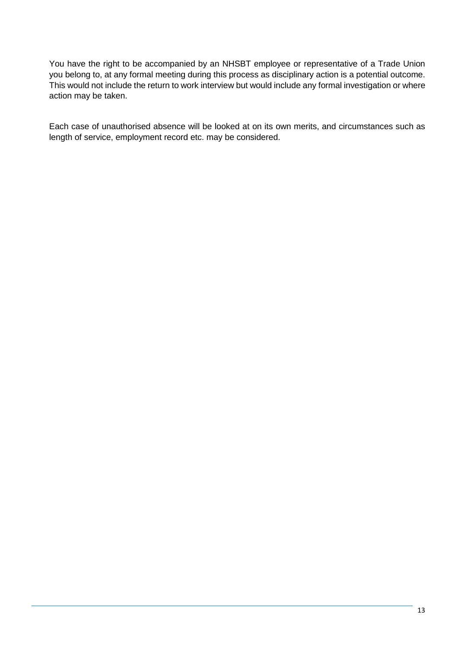You have the right to be accompanied by an NHSBT employee or representative of a Trade Union you belong to, at any formal meeting during this process as disciplinary action is a potential outcome. This would not include the return to work interview but would include any formal investigation or where action may be taken.

Each case of unauthorised absence will be looked at on its own merits, and circumstances such as length of service, employment record etc. may be considered.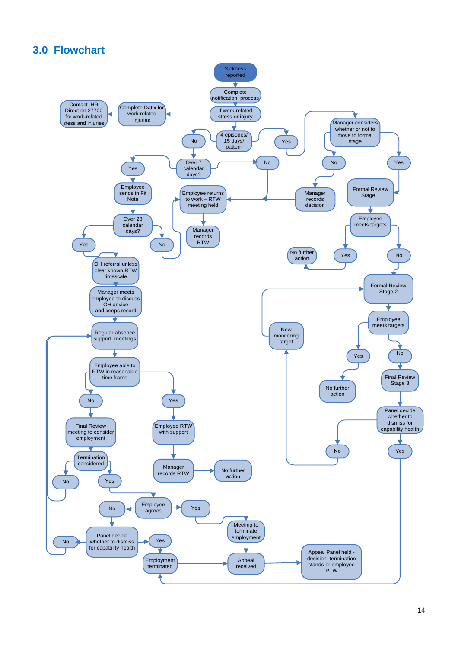# **3.0 Flowchart**